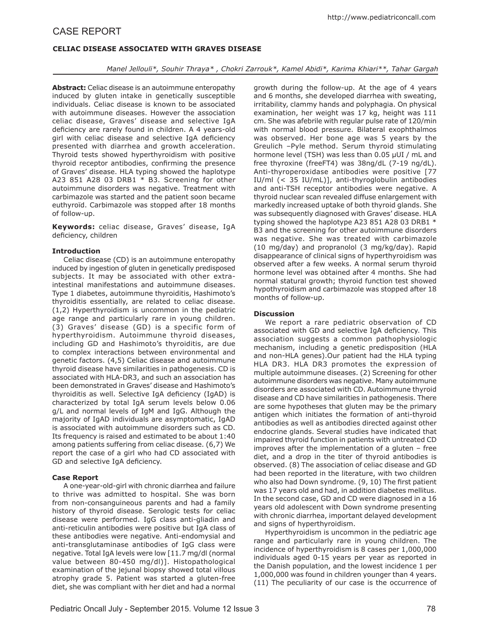# **Celiac disease associated with Graves Disease**

## *Manel Jellouli\*, Souhir Thraya\* , Chokri Zarrouk\*, Kamel Abidi\*, Karima Khiari\*\*, Tahar Gargah*

**Abstract:** Celiac disease is an autoimmune enteropathy induced by gluten intake in genetically susceptible individuals. Celiac disease is known to be associated with autoimmune diseases. However the association celiac disease, Graves' disease and selective IgA deficiency are rarely found in children. A 4 years-old girl with celiac disease and selective IgA deficiency presented with diarrhea and growth acceleration. Thyroid tests showed hyperthyroidism with positive thyroid receptor antibodies, confirming the presence of Graves' disease. HLA typing showed the haplotype A23 851 A28 03 DRB1 \* B3. Screening for other autoimmune disorders was negative. Treatment with carbimazole was started and the patient soon became euthyroïd. Carbimazole was stopped after 18 months of follow-up.

**Keywords:** celiac disease, Graves' disease, IgA deficiency, children

### **Introduction**

Celiac disease (CD) is an autoimmune enteropathy induced by ingestion of gluten in genetically predisposed subjects. It may be associated with other extraintestinal manifestations and autoimmune diseases. Type 1 diabetes, autoimmune thyroiditis, Hashimoto's thyroiditis essentially, are related to celiac disease. (1,2) Hyperthyroidism is uncommon in the pediatric age range and particularly rare in young children. (3) Graves' disease (GD) is a specific form of hyperthyroidism. Autoimmune thyroid diseases, including GD and Hashimoto's thyroiditis, are due to complex interactions between environmental and genetic factors. (4,5) Celiac disease and autoimmune thyroid disease have similarities in pathogenesis. CD is associated with HLA-DR3, and such an association has been demonstrated in Graves' disease and Hashimoto's thyroiditis as well. Selective IgA deficiency (IgAD) is characterized by total IgA serum levels below 0.06 g/L and normal levels of IgM and IgG. Although the majority of IgAD individuals are asymptomatic, IgAD is associated with autoimmune disorders such as CD. Its frequency is raised and estimated to be about 1:40 among patients suffering from celiac disease. (6,7) We report the case of a girl who had CD associated with GD and selective IgA deficiency.

## **Case Report**

A one-year-old-girl with chronic diarrhea and failure to thrive was admitted to hospital. She was born from non-consanguineous parents and had a family history of thyroid disease. Serologic tests for celiac disease were performed. IgG class anti-gliadin and anti-reticulin antibodies were positive but IgA class of these antibodies were negative. Anti-endomysial and anti-transglutaminase antibodies of IgG class were negative. Total IgA levels were low [11.7 mg/dl (normal value between 80-450 mg/dl)]. Histopathological examination of the jejunal biopsy showed total villous atrophy grade 5. Patient was started a gluten-free diet, she was compliant with her diet and had a normal growth during the follow-up. At the age of 4 years and 6 months, she developed diarrhea with sweating, irritability, clammy hands and polyphagia. On physical examination, her weight was 17 kg, height was 111 cm. She was afebrile with regular pulse rate of 120/min with normal blood pressure. Bilateral exophthalmos was observed. Her bone age was 5 years by the Greulich –Pyle method. Serum thyroid stimulating hormone level (TSH) was less than 0.05 μUI / mL and free thyroxine (freeFT4) was 38ng/dL (7-19 ng/dL). Anti-thyroperoxidase antibodies were positive [77 IU/ml (< 35 IU/mL)], anti-thyroglobulin antibodies and anti-TSH receptor antibodies were negative. A thyroid nuclear scan revealed diffuse enlargement with markedly increased uptake of both thyroid glands. She was subsequently diagnosed with Graves' disease. HLA typing showed the haplotype A23 851 A28 03 DRB1 \* B3 and the screening for other autoimmune disorders was negative. She was treated with carbimazole (10 mg/day) and propranolol (3 mg/kg/day). Rapid disappearance of clinical signs of hyperthyroidism was observed after a few weeks. A normal serum thyroid hormone level was obtained after 4 months. She had normal statural growth; thyroid function test showed hypothyroidism and carbimazole was stopped after 18 months of follow-up.

## **Discussion**

We report a rare pediatric observation of CD associated with GD and selective IgA deficiency. This association suggests a common pathophysiologic mechanism, including a genetic predisposition (HLA and non-HLA genes).Our patient had the HLA typing HLA DR3. HLA DR3 promotes the expression of multiple autoimmune diseases. (2) Screening for other autoimmune disorders was negative. Many autoimmune disorders are associated with CD. Autoimmune thyroid disease and CD have similarities in pathogenesis. There are some hypotheses that gluten may be the primary antigen which initiates the formation of anti-thyroid antibodies as well as antibodies directed against other endocrine glands. Several studies have indicated that impaired thyroid function in patients with untreated CD improves after the implementation of a gluten – free diet, and a drop in the titer of thyroid antibodies is observed. (8) The association of celiac disease and GD had been reported in the literature, with two children who also had Down syndrome. (9, 10) The first patient was 17 years old and had, in addition diabetes mellitus. In the second case, GD and CD were diagnosed in a 16 years old adolescent with Down syndrome presenting with chronic diarrhea, important delayed development and signs of hyperthyroidism.

Hyperthyroidism is uncommon in the pediatric age range and particularly rare in young children. The incidence of hyperthyroidism is 8 cases per 1,000,000 individuals aged 0-15 years per year as reported in the Danish population, and the lowest incidence 1 per 1,000,000 was found in children younger than 4 years. (11) The peculiarity of our case is the occurrence of